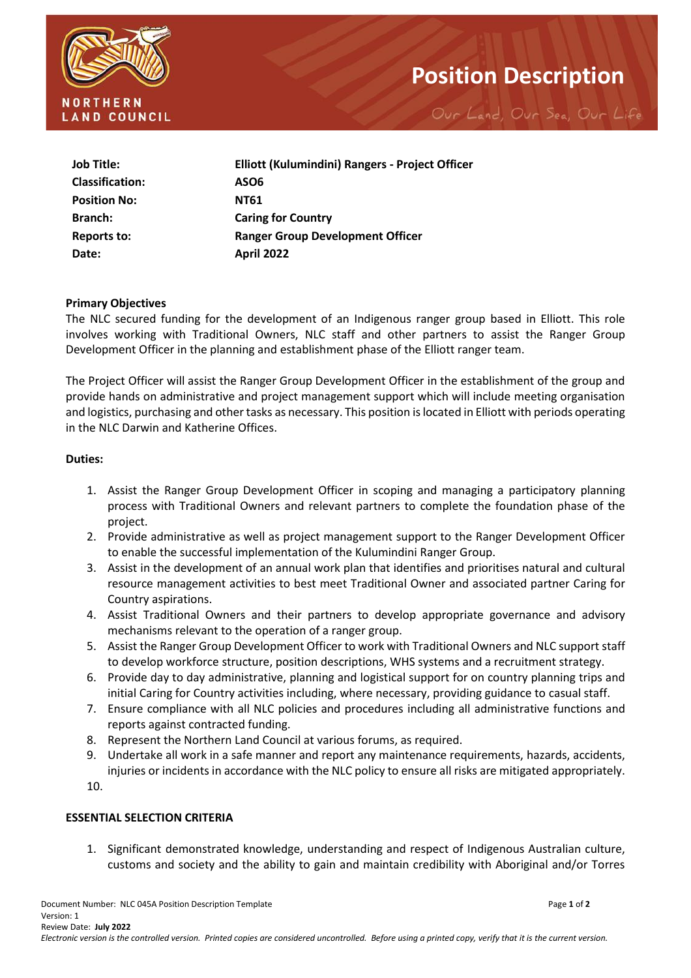

# **Position Description**

Our Land, Our Sea, Our Life

| Job Title:             | Elliott (Kulumindini) Rangers - Project Officer |  |
|------------------------|-------------------------------------------------|--|
| <b>Classification:</b> | ASO6                                            |  |
| <b>Position No:</b>    | <b>NT61</b>                                     |  |
| <b>Branch:</b>         | <b>Caring for Country</b>                       |  |
| Reports to:            | <b>Ranger Group Development Officer</b>         |  |
| Date:                  | <b>April 2022</b>                               |  |

#### **Primary Objectives**

The NLC secured funding for the development of an Indigenous ranger group based in Elliott. This role involves working with Traditional Owners, NLC staff and other partners to assist the Ranger Group Development Officer in the planning and establishment phase of the Elliott ranger team.

The Project Officer will assist the Ranger Group Development Officer in the establishment of the group and provide hands on administrative and project management support which will include meeting organisation and logistics, purchasing and other tasks as necessary. This position is located in Elliott with periods operating in the NLC Darwin and Katherine Offices.

#### **Duties:**

- 1. Assist the Ranger Group Development Officer in scoping and managing a participatory planning process with Traditional Owners and relevant partners to complete the foundation phase of the project.
- 2. Provide administrative as well as project management support to the Ranger Development Officer to enable the successful implementation of the Kulumindini Ranger Group.
- 3. Assist in the development of an annual work plan that identifies and prioritises natural and cultural resource management activities to best meet Traditional Owner and associated partner Caring for Country aspirations.
- 4. Assist Traditional Owners and their partners to develop appropriate governance and advisory mechanisms relevant to the operation of a ranger group.
- 5. Assist the Ranger Group Development Officer to work with Traditional Owners and NLC support staff to develop workforce structure, position descriptions, WHS systems and a recruitment strategy.
- 6. Provide day to day administrative, planning and logistical support for on country planning trips and initial Caring for Country activities including, where necessary, providing guidance to casual staff.
- 7. Ensure compliance with all NLC policies and procedures including all administrative functions and reports against contracted funding.
- 8. Represent the Northern Land Council at various forums, as required.
- 9. Undertake all work in a safe manner and report any maintenance requirements, hazards, accidents, injuries or incidents in accordance with the NLC policy to ensure all risks are mitigated appropriately.

10.

### **ESSENTIAL SELECTION CRITERIA**

1. Significant demonstrated knowledge, understanding and respect of Indigenous Australian culture, customs and society and the ability to gain and maintain credibility with Aboriginal and/or Torres